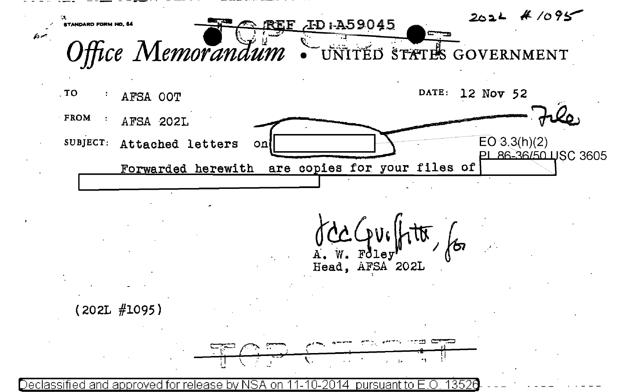



pursuant to E.O. 13526 <u>Declassified and approved for release by NSA onl</u> -2014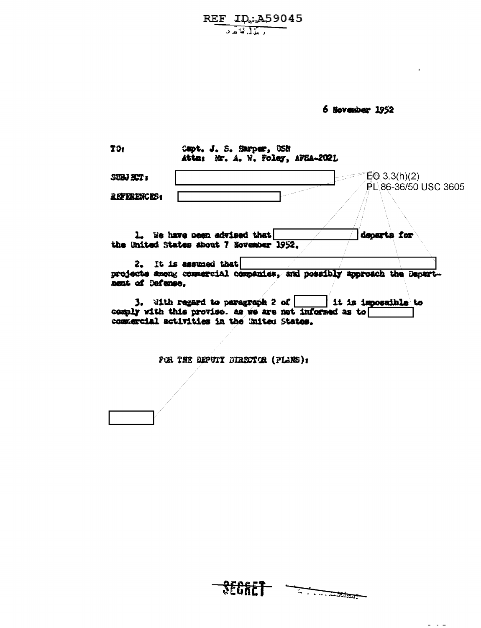REF ID: A59045

6 November 1952

| TO.                       | Capt. J. S. Harper, USN<br>Attn: Mr. A. W. Foley, AFSA-202L                                                                                                                 |
|---------------------------|-----------------------------------------------------------------------------------------------------------------------------------------------------------------------------|
| SUBJET:                   | $EQ$ 3.3(h)(2)                                                                                                                                                              |
| <i><b>REFERENCES:</b></i> | PL 86-36/50 USC 3605                                                                                                                                                        |
|                           | departs for<br>1. We have neen advised that<br>the United States about 7 Hovember 1952.                                                                                     |
| nent of Defense.          | 2. It is assumed that<br>projects among commercial companies, and possibly approach the Depart-                                                                             |
|                           | <b>3.</b> With regard to paragraph 2 of $ $<br>it is impossible to<br>comply with this proviso. as we are not informed as to<br>commercial activities in the United States. |

FOR THE DEPUTY DIRECTOR (PLANS):



 $\sim$   $\sim$   $\sim$   $\sim$   $\sim$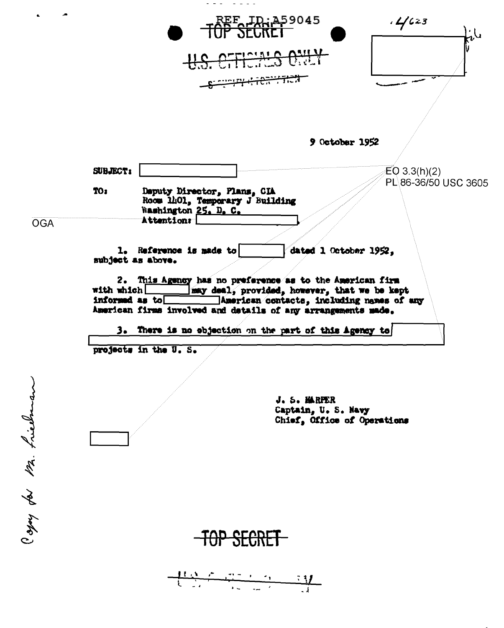$\frac{1}{2} \left( \frac{1}{2} \right) \frac{1}{2} \left( \frac{1}{2} \right) \frac{1}{2} \left( \frac{1}{2} \right)$  $.4/$ 623 ፱፻**, ID.: 459045**  $6.11$ 701110 9 October 1952 SUBJECT:  $EO 3.3(h)(2)$ PL\86-36/50 USC 3605 Deputy Director, Plans, CIA TO<sub>1</sub> Room 1401, Temporary J Building Washington 25. D. C. Attentions **OGA** 1. Reference is made to dated 1 October 1952, subject as above. 2. This Agency has no preference as to the American firm may deal, provided, however, that we be kept with which  $\Box$ informed as to American contacts, including names of any American firms involved and details of any arrangements made. There is no objection on the part of this Agency to з. projects in the U.S. Copy for Mr. friedman J. S. MARPER Captain, U.S. Navy Chief, Office of Operations <del>TAP</del>